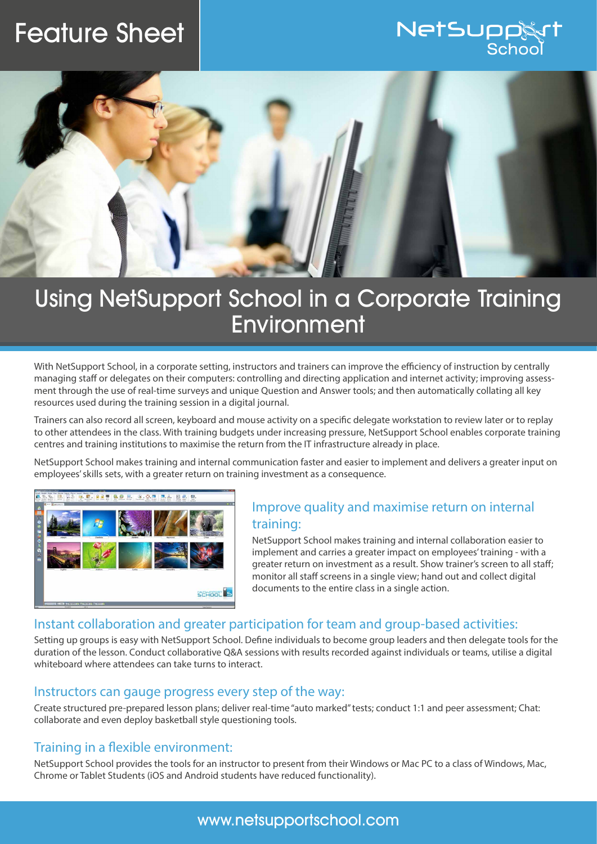# Feature Sheet





## Using NetSupport School in a Corporate Training **Environment**

With NetSupport School, in a corporate setting, instructors and trainers can improve the efficiency of instruction by centrally managing staff or delegates on their computers: controlling and directing application and internet activity; improving assessment through the use of real-time surveys and unique Question and Answer tools; and then automatically collating all key resources used during the training session in a digital journal.

Trainers can also record all screen, keyboard and mouse activity on a specific delegate workstation to review later or to replay to other attendees in the class. With training budgets under increasing pressure, NetSupport School enables corporate training centres and training institutions to maximise the return from the IT infrastructure already in place.

NetSupport School makes training and internal communication faster and easier to implement and delivers a greater input on employees' skills sets, with a greater return on training investment as a consequence.



## Improve quality and maximise return on internal training:

NetSupport School makes training and internal collaboration easier to implement and carries a greater impact on employees' training - with a greater return on investment as a result. Show trainer's screen to all staff; monitor all staff screens in a single view; hand out and collect digital documents to the entire class in a single action.

### Instant collaboration and greater participation for team and group-based activities:

Setting up groups is easy with NetSupport School. Define individuals to become group leaders and then delegate tools for the duration of the lesson. Conduct collaborative Q&A sessions with results recorded against individuals or teams, utilise a digital whiteboard where attendees can take turns to interact.

#### Instructors can gauge progress every step of the way:

Create structured pre-prepared lesson plans; deliver real-time "auto marked" tests; conduct 1:1 and peer assessment; Chat: collaborate and even deploy basketball style questioning tools.

### Training in a flexible environment:

NetSupport School provides the tools for an instructor to present from their Windows or Mac PC to a class of Windows, Mac, Chrome or Tablet Students (iOS and Android students have reduced functionality).

## www.netsupportschool.com